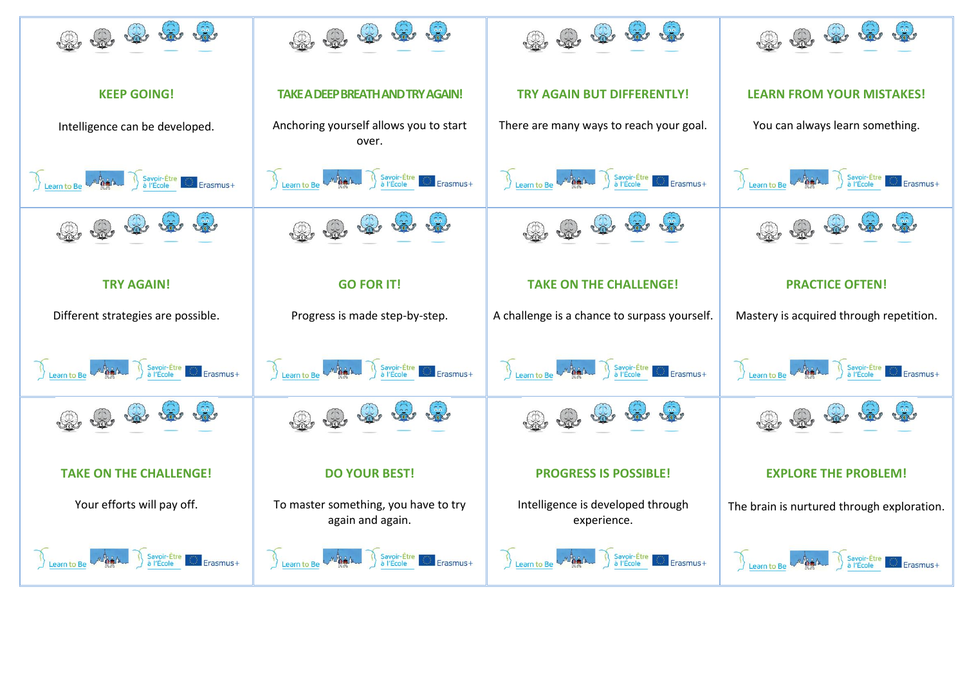